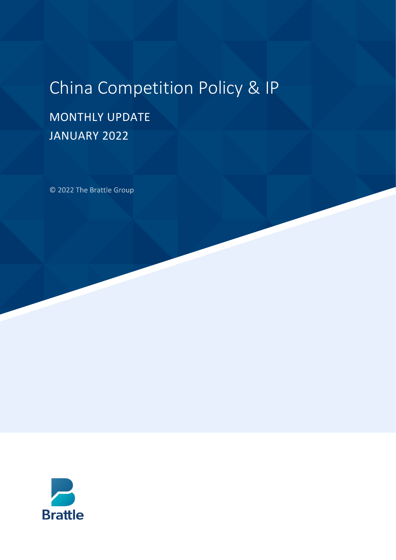# China Competition Policy & IP

# MONTHLY UPDATE JANUARY 2022

© 2022 The Brattle Group

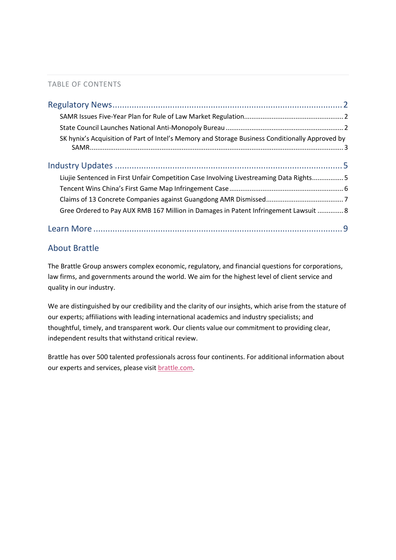#### TABLE OF CONTENTS

| SK hynix's Acquisition of Part of Intel's Memory and Storage Business Conditionally Approved by |
|-------------------------------------------------------------------------------------------------|
|                                                                                                 |
| Liujie Sentenced in First Unfair Competition Case Involving Livestreaming Data Rights 5         |
|                                                                                                 |
|                                                                                                 |
| Gree Ordered to Pay AUX RMB 167 Million in Damages in Patent Infringement Lawsuit  8            |
|                                                                                                 |

### About Brattle

The Brattle Group answers complex economic, regulatory, and financial questions for corporations, law firms, and governments around the world. We aim for the highest level of client service and quality in our industry.

We are distinguished by our credibility and the clarity of our insights, which arise from the stature of our experts; affiliations with leading international academics and industry specialists; and thoughtful, timely, and transparent work. Our clients value our commitment to providing clear, independent results that withstand critical review.

Brattle has over 500 talented professionals across four continents. For additional information about our experts and services, please visi[t brattle.com.](https://www.brattle.com/)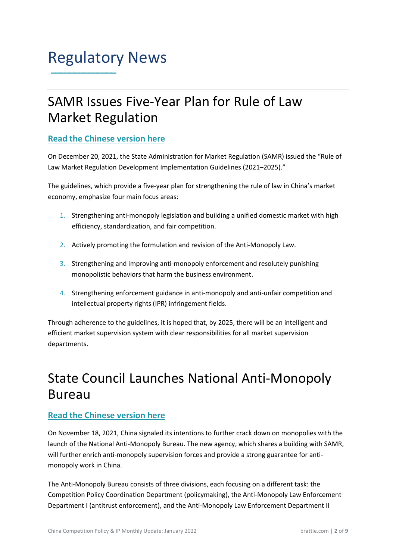### <span id="page-2-0"></span>Regulatory News **\_\_\_\_\_\_\_\_\_\_\_\_\_\_**

# <span id="page-2-1"></span>SAMR Issues Five-Year Plan for Rule of Law Market Regulation

### **[Read the Chinese version here](https://gkml.samr.gov.cn/nsjg/fgs/202112/t20211220_338199.html)**

On December 20, 2021, the State Administration for Market Regulation (SAMR) issued the "Rule of Law Market Regulation Development Implementation Guidelines (2021–2025)."

The guidelines, which provide a five-year plan for strengthening the rule of law in China's market economy, emphasize four main focus areas:

- 1. Strengthening anti-monopoly legislation and building a unified domestic market with high efficiency, standardization, and fair competition.
- 2. Actively promoting the formulation and revision of the Anti-Monopoly Law.
- 3. Strengthening and improving anti-monopoly enforcement and resolutely punishing monopolistic behaviors that harm the business environment.
- 4. Strengthening enforcement guidance in anti-monopoly and anti-unfair competition and intellectual property rights (IPR) infringement fields.

Through adherence to the guidelines, it is hoped that, by 2025, there will be an intelligent and efficient market supervision system with clear responsibilities for all market supervision departments.

# <span id="page-2-2"></span>State Council Launches National Anti-Monopoly Bureau

### **[Read the Chinese version here](https://www.samr.gov.cn/xw/mtjj/202112/t20211219_338196.html)**

On November 18, 2021, China signaled its intentions to further crack down on monopolies with the launch of the National Anti-Monopoly Bureau. The new agency, which shares a building with SAMR, will further enrich anti-monopoly supervision forces and provide a strong guarantee for antimonopoly work in China.

The Anti-Monopoly Bureau consists of three divisions, each focusing on a different task: the Competition Policy Coordination Department (policymaking), the Anti-Monopoly Law Enforcement Department I (antitrust enforcement), and the Anti-Monopoly Law Enforcement Department II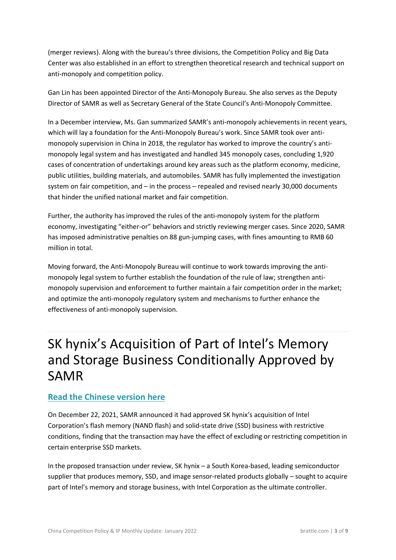(merger reviews). Along with the bureau's three divisions, the Competition Policy and Big Data Center was also established in an effort to strengthen theoretical research and technical support on anti-monopoly and competition policy.

Gan Lin has been appointed Director of the Anti-Monopoly Bureau. She also serves as the Deputy Director of SAMR as well as Secretary General of the State Council's Anti-Monopoly Committee.

In a December interview, Ms. Gan summarized SAMR's anti-monopoly achievements in recent years, which will lay a foundation for the Anti-Monopoly Bureau's work. Since SAMR took over antimonopoly supervision in China in 2018, the regulator has worked to improve the country's antimonopoly legal system and has investigated and handled 345 monopoly cases, concluding 1,920 cases of concentration of undertakings around key areas such as the platform economy, medicine, public utilities, building materials, and automobiles. SAMR has fully implemented the investigation system on fair competition, and – in the process – repealed and revised nearly 30,000 documents that hinder the unified national market and fair competition.

Further, the authority has improved the rules of the anti-monopoly system for the platform economy, investigating "either-or" behaviors and strictly reviewing merger cases. Since 2020, SAMR has imposed administrative penalties on 88 gun-jumping cases, with fines amounting to RMB 60 million in total.

Moving forward, the Anti-Monopoly Bureau will continue to work towards improving the antimonopoly legal system to further establish the foundation of the rule of law; strengthen antimonopoly supervision and enforcement to further maintain a fair competition order in the market; and optimize the anti-monopoly regulatory system and mechanisms to further enhance the effectiveness of anti-monopoly supervision.

# <span id="page-3-0"></span>SK hynix's Acquisition of Part of Intel's Memory and Storage Business Conditionally Approved by SAMR

#### **[Read the Chinese version here](https://www.samr.gov.cn/fldj/tzgg/ftjpz/202112/t20211222_338317.html)**

On December 22, 2021, SAMR announced it had approved SK hynix's acquisition of Intel Corporation's flash memory (NAND flash) and solid-state drive (SSD) business with restrictive conditions, finding that the transaction may have the effect of excluding or restricting competition in certain enterprise SSD markets.

In the proposed transaction under review, SK hynix – a South Korea-based, leading semiconductor supplier that produces memory, SSD, and image sensor-related products globally – sought to acquire part of Intel's memory and storage business, with Intel Corporation as the ultimate controller.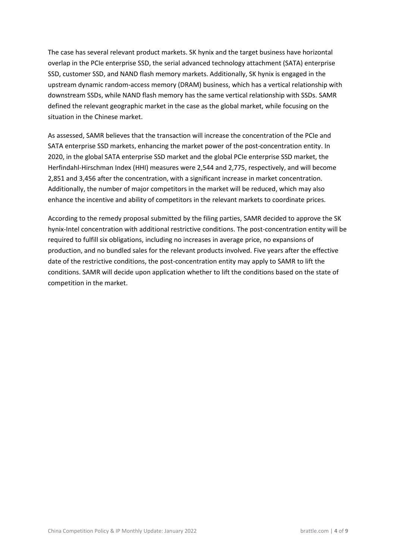The case has several relevant product markets. SK hynix and the target business have horizontal overlap in the PCIe enterprise SSD, the serial advanced technology attachment (SATA) enterprise SSD, customer SSD, and NAND flash memory markets. Additionally, SK hynix is engaged in the upstream dynamic random-access memory (DRAM) business, which has a vertical relationship with downstream SSDs, while NAND flash memory has the same vertical relationship with SSDs. SAMR defined the relevant geographic market in the case as the global market, while focusing on the situation in the Chinese market.

As assessed, SAMR believes that the transaction will increase the concentration of the PCIe and SATA enterprise SSD markets, enhancing the market power of the post-concentration entity. In 2020, in the global SATA enterprise SSD market and the global PCIe enterprise SSD market, the Herfindahl-Hirschman Index (HHI) measures were 2,544 and 2,775, respectively, and will become 2,851 and 3,456 after the concentration, with a significant increase in market concentration. Additionally, the number of major competitors in the market will be reduced, which may also enhance the incentive and ability of competitors in the relevant markets to coordinate prices.

According to the remedy proposal submitted by the filing parties, SAMR decided to approve the SK hynix-Intel concentration with additional restrictive conditions. The post-concentration entity will be required to fulfill six obligations, including no increases in average price, no expansions of production, and no bundled sales for the relevant products involved. Five years after the effective date of the restrictive conditions, the post-concentration entity may apply to SAMR to lift the conditions. SAMR will decide upon application whether to lift the conditions based on the state of competition in the market.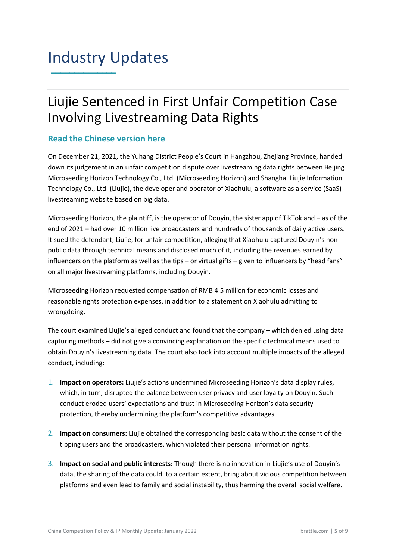### <span id="page-5-0"></span>Industry Updates **\_\_\_\_\_\_\_\_\_\_\_\_\_\_**

# <span id="page-5-1"></span>Liujie Sentenced in First Unfair Competition Case Involving Livestreaming Data Rights

### **[Read the Chinese version here](https://www.sohu.com/a/513518828_120756317)**

On December 21, 2021, the Yuhang District People's Court in Hangzhou, Zhejiang Province, handed down its judgement in an unfair competition dispute over livestreaming data rights between Beijing Microseeding Horizon Technology Co., Ltd. (Microseeding Horizon) and Shanghai Liujie Information Technology Co., Ltd. (Liujie), the developer and operator of Xiaohulu, a software as a service (SaaS) livestreaming website based on big data.

Microseeding Horizon, the plaintiff, is the operator of Douyin, the sister app of TikTok and – as of the end of 2021 – had over 10 million live broadcasters and hundreds of thousands of daily active users. It sued the defendant, Liujie, for unfair competition, alleging that Xiaohulu captured Douyin's nonpublic data through technical means and disclosed much of it, including the revenues earned by influencers on the platform as well as the tips – or virtual gifts – given to influencers by "head fans" on all major livestreaming platforms, including Douyin.

Microseeding Horizon requested compensation of RMB 4.5 million for economic losses and reasonable rights protection expenses, in addition to a statement on Xiaohulu admitting to wrongdoing.

The court examined Liujie's alleged conduct and found that the company – which denied using data capturing methods – did not give a convincing explanation on the specific technical means used to obtain Douyin's livestreaming data. The court also took into account multiple impacts of the alleged conduct, including:

- 1. **Impact on operators:** Liujie's actions undermined Microseeding Horizon's data display rules, which, in turn, disrupted the balance between user privacy and user loyalty on Douyin. Such conduct eroded users' expectations and trust in Microseeding Horizon's data security protection, thereby undermining the platform's competitive advantages.
- 2. **Impact on consumers:** Liujie obtained the corresponding basic data without the consent of the tipping users and the broadcasters, which violated their personal information rights.
- 3. **Impact on social and public interests:** Though there is no innovation in Liujie's use of Douyin's data, the sharing of the data could, to a certain extent, bring about vicious competition between platforms and even lead to family and social instability, thus harming the overall social welfare.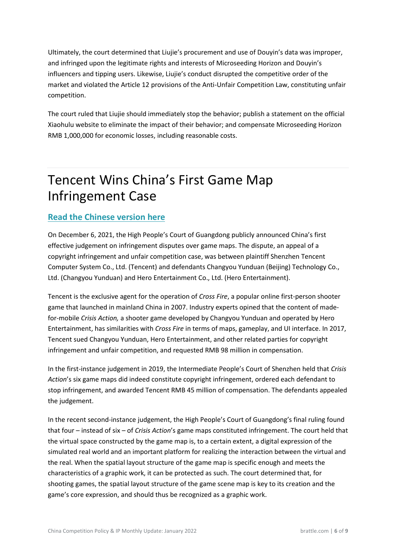Ultimately, the court determined that Liujie's procurement and use of Douyin's data was improper, and infringed upon the legitimate rights and interests of Microseeding Horizon and Douyin's influencers and tipping users. Likewise, Liujie's conduct disrupted the competitive order of the market and violated the Article 12 provisions of the Anti-Unfair Competition Law, constituting unfair competition.

The court ruled that Liujie should immediately stop the behavior; publish a statement on the official Xiaohulu website to eliminate the impact of their behavior; and compensate Microseeding Horizon RMB 1,000,000 for economic losses, including reasonable costs.

# <span id="page-6-0"></span>Tencent Wins China's First Game Map Infringement Case

### **[Read the Chinese version here](https://new.qq.com/omn/20211213/20211213A08LRO00.html)**

On December 6, 2021, the High People's Court of Guangdong publicly announced China's first effective judgement on infringement disputes over game maps. The dispute, an appeal of a copyright infringement and unfair competition case, was between plaintiff Shenzhen Tencent Computer System Co., Ltd. (Tencent) and defendants Changyou Yunduan (Beijing) Technology Co., Ltd. (Changyou Yunduan) and Hero Entertainment Co., Ltd. (Hero Entertainment).

Tencent is the exclusive agent for the operation of *Cross Fire*, a popular online first-person shooter game that launched in mainland China in 2007. Industry experts opined that the content of madefor-mobile *Crisis Action,* a shooter game developed by Changyou Yunduan and operated by Hero Entertainment, has similarities with *Cross Fire* in terms of maps, gameplay, and UI interface. In 2017, Tencent sued Changyou Yunduan, Hero Entertainment, and other related parties for copyright infringement and unfair competition, and requested RMB 98 million in compensation.

In the first-instance judgement in 2019, the Intermediate People's Court of Shenzhen held that *Crisis Action*'s six game maps did indeed constitute copyright infringement, ordered each defendant to stop infringement, and awarded Tencent RMB 45 million of compensation. The defendants appealed the judgement.

In the recent second-instance judgement, the High People's Court of Guangdong's final ruling found that four – instead of six – of *Crisis Action*'s game maps constituted infringement. The court held that the virtual space constructed by the game map is, to a certain extent, a digital expression of the simulated real world and an important platform for realizing the interaction between the virtual and the real. When the spatial layout structure of the game map is specific enough and meets the characteristics of a graphic work, it can be protected as such. The court determined that, for shooting games, the spatial layout structure of the game scene map is key to its creation and the game's core expression, and should thus be recognized as a graphic work.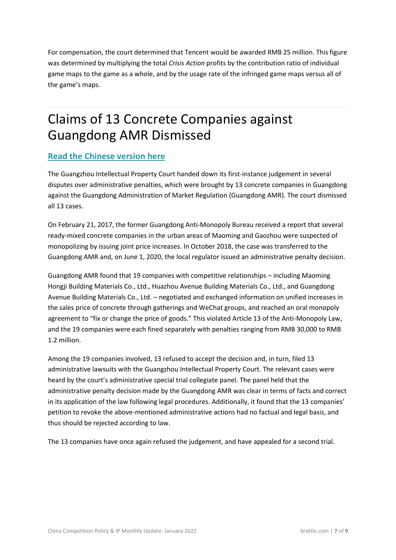For compensation, the court determined that Tencent would be awarded RMB 25 million. This figure was determined by multiplying the total *Crisis Action* profits by the contribution ratio of individual game maps to the game as a whole, and by the usage rate of the infringed game maps versus all of the game's maps.

# <span id="page-7-0"></span>Claims of 13 Concrete Companies against Guangdong AMR Dismissed

### **[Read the Chinese version here](https://new.qq.com/omn/20211129/20211129A0A9VO00.html)**

The Guangzhou Intellectual Property Court handed down its first-instance judgement in several disputes over administrative penalties, which were brought by 13 concrete companies in Guangdong against the Guangdong Administration of Market Regulation (Guangdong AMR). The court dismissed all 13 cases.

On February 21, 2017, the former Guangdong Anti-Monopoly Bureau received a report that several ready-mixed concrete companies in the urban areas of Maoming and Gaozhou were suspected of monopolizing by issuing joint price increases. In October 2018, the case was transferred to the Guangdong AMR and, on June 1, 2020, the local regulator issued an administrative penalty decision.

Guangdong AMR found that 19 companies with competitive relationships – including Maoming Hongji Building Materials Co., Ltd., Huazhou Avenue Building Materials Co., Ltd., and Guangdong Avenue Building Materials Co., Ltd. – negotiated and exchanged information on unified increases in the sales price of concrete through gatherings and WeChat groups, and reached an oral monopoly agreement to "fix or change the price of goods." This violated Article 13 of the Anti-Monopoly Law, and the 19 companies were each fined separately with penalties ranging from RMB 30,000 to RMB 1.2 million.

Among the 19 companies involved, 13 refused to accept the decision and, in turn, filed 13 administrative lawsuits with the Guangzhou Intellectual Property Court. The relevant cases were heard by the court's administrative special trial collegiate panel. The panel held that the administrative penalty decision made by the Guangdong AMR was clear in terms of facts and correct in its application of the law following legal procedures. Additionally, it found that the 13 companies' petition to revoke the above-mentioned administrative actions had no factual and legal basis, and thus should be rejected according to law.

The 13 companies have once again refused the judgement, and have appealed for a second trial.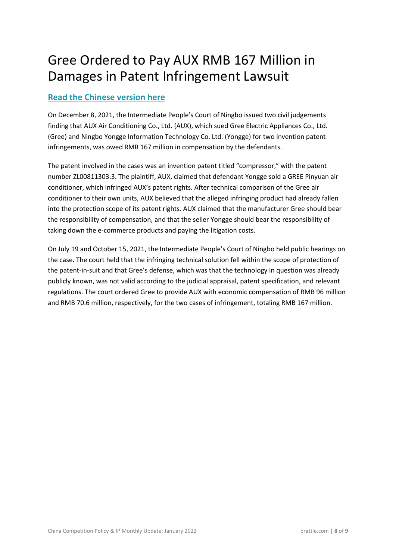# <span id="page-8-0"></span>Gree Ordered to Pay AUX RMB 167 Million in Damages in Patent Infringement Lawsuit

### **[Read the Chinese version here](https://new.qq.com/omn/20211219/20211219A02AB100.html)**

On December 8, 2021, the Intermediate People's Court of Ningbo issued two civil judgements finding that AUX Air Conditioning Co., Ltd. (AUX), which sued Gree Electric Appliances Co., Ltd. (Gree) and Ningbo Yongge Information Technology Co. Ltd. (Yongge) for two invention patent infringements, was owed RMB 167 million in compensation by the defendants.

The patent involved in the cases was an invention patent titled "compressor," with the patent number ZL00811303.3. The plaintiff, AUX, claimed that defendant Yongge sold a GREE Pinyuan air conditioner, which infringed AUX's patent rights. After technical comparison of the Gree air conditioner to their own units, AUX believed that the alleged infringing product had already fallen into the protection scope of its patent rights. AUX claimed that the manufacturer Gree should bear the responsibility of compensation, and that the seller Yongge should bear the responsibility of taking down the e-commerce products and paying the litigation costs.

On July 19 and October 15, 2021, the Intermediate People's Court of Ningbo held public hearings on the case. The court held that the infringing technical solution fell within the scope of protection of the patent-in-suit and that Gree's defense, which was that the technology in question was already publicly known, was not valid according to the judicial appraisal, patent specification, and relevant regulations. The court ordered Gree to provide AUX with economic compensation of RMB 96 million and RMB 70.6 million, respectively, for the two cases of infringement, totaling RMB 167 million.